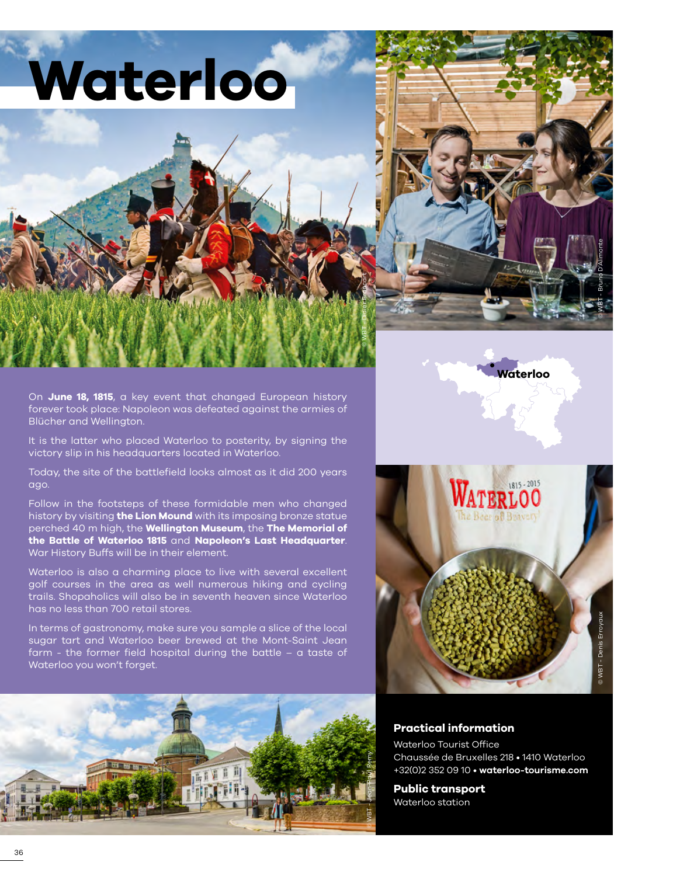





**Waterloo**

On **June 18, 1815**, a key event that changed European history forever took place: Napoleon was defeated against the armies of Blücher and Wellington.

It is the latter who placed Waterloo to posterity, by signing the victory slip in his headquarters located in Waterloo.

Today, the site of the battlefield looks almost as it did 200 years ago.

Follow in the footsteps of these formidable men who changed history by visiting **the Lion Mound** with its imposing bronze statue perched 40 m high, the **Wellington Museum**, the **The Memorial of the Battle of Waterloo 1815** and **Napoleon's Last Headquarter**. War History Buffs will be in their element.

Waterloo is also a charming place to live with several excellent golf courses in the area as well numerous hiking and cycling trails. Shopaholics will also be in seventh heaven since Waterloo has no less than 700 retail stores.

In terms of gastronomy, make sure you sample a slice of the local sugar tart and Waterloo beer brewed at the Mont-Saint Jean farm - the former field hospital during the battle – a taste of Waterloo you won't forget.





# **Practical information**

Waterloo Tourist Office Chaussée de Bruxelles 218 • 1410 Waterloo +32(0)2 352 09 10 • **[waterloo-tourisme.com](http://www.waterloo-tourisme.com/fr)**

**Public transport** Waterloo station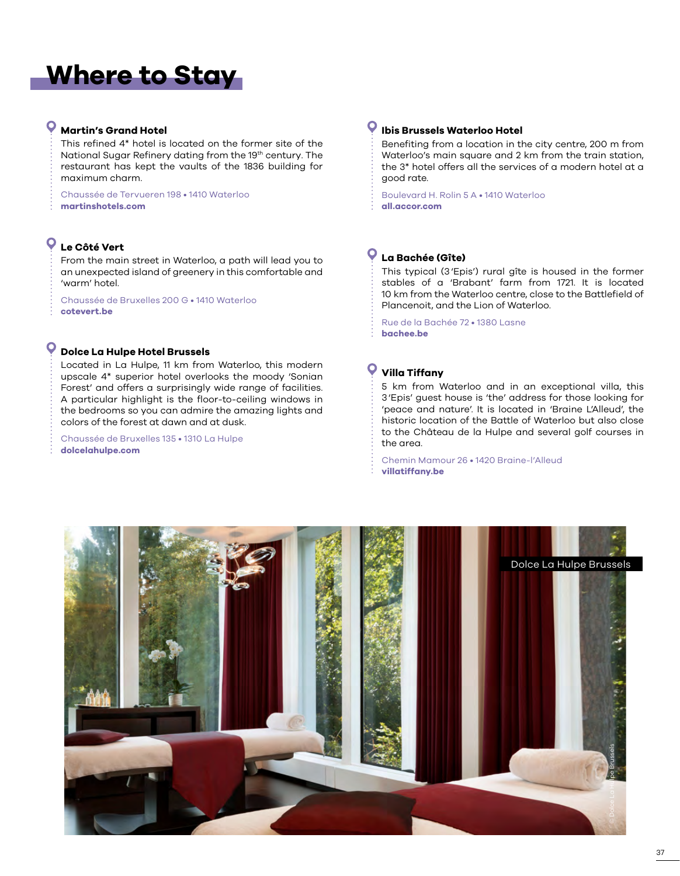# **Where to Stay**

## **Martin's Grand Hotel**

This refined 4\* hotel is located on the former site of the National Sugar Refinery dating from the 19<sup>th</sup> century. The restaurant has kept the vaults of the 1836 building for maximum charm.

Chaussée de Tervueren 198 • 1410 Waterloo **[martinshotels.com](https://www.martinshotels.com/fr/hotel/grand-hotel-waterloo)**

# **Le Côté Vert**

From the main street in Waterloo, a path will lead you to an unexpected island of greenery in this comfortable and 'warm' hotel.

Chaussée de Bruxelles 200 G • 1410 Waterloo **[cotevert.be](www.cotevert.be)**

### **Dolce La Hulpe Hotel Brussels**

Located in La Hulpe, 11 km from Waterloo, this modern upscale 4\* superior hotel overlooks the moody 'Sonian Forest' and offers a surprisingly wide range of facilities. A particular highlight is the floor-to-ceiling windows in the bedrooms so you can admire the amazing lights and colors of the forest at dawn and at dusk.

Chaussée de Bruxelles 135 • 1310 La Hulpe **[dolcelahulpe.com](www.dolcelahulpe.com)**

### **Ibis Brussels Waterloo Hotel**

Benefiting from a location in the city centre, 200 m from Waterloo's main square and 2 km from the train station, the 3\* hotel offers all the services of a modern hotel at a good rate.

Boulevard H. Rolin 5 A • 1410 Waterloo **[all.accor.com](www.all.accor.com)**

## **La Bachée (Gîte)**

This typical (3'Epis') rural gîte is housed in the former stables of a 'Brabant' farm from 1721. It is located 10 km from the Waterloo centre, close to the Battlefield of Plancenoit, and the Lion of Waterloo.

Rue de la Bachée 72 • 1380 Lasne **[bachee.be](https://bachee.be/fr/descriptif/)**

# **Villa Tiffany**

5 km from Waterloo and in an exceptional villa, this 3'Epis' guest house is 'the' address for those looking for 'peace and nature'. It is located in 'Braine L'Alleud', the historic location of the Battle of Waterloo but also close to the Château de la Hulpe and several golf courses in the area.

Chemin Mamour 26 • 1420 Braine-l'Alleud **[villatiffany.be](https://www.villatiffany.be/fr/)**

![](_page_1_Picture_19.jpeg)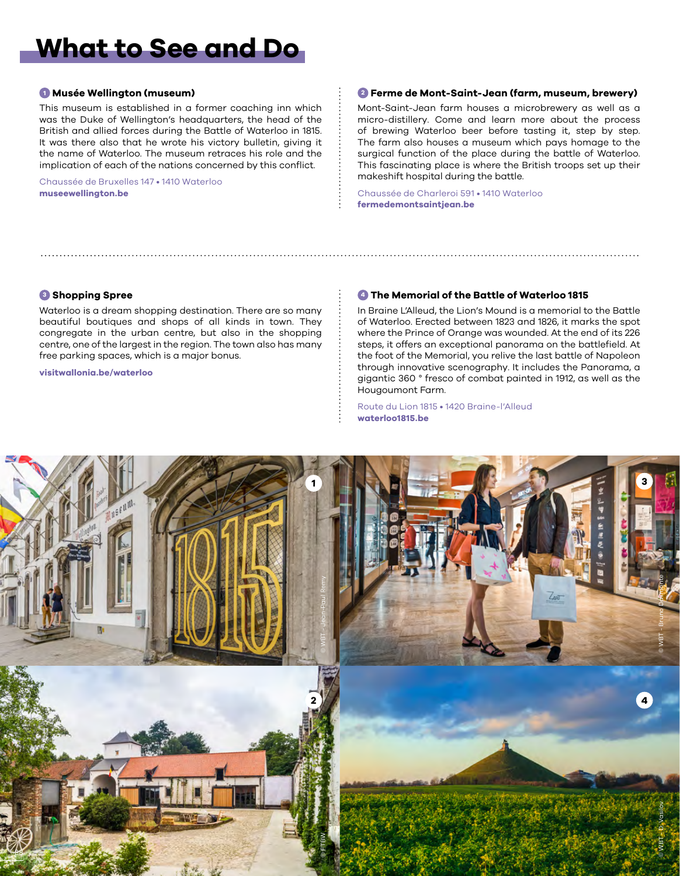# **What to See and Do**

### **<sup>1</sup> Musée Wellington (museum)**

This museum is established in a former coaching inn which was the Duke of Wellington's headquarters, the head of the British and allied forces during the Battle of Waterloo in 1815. It was there also that he wrote his victory bulletin, giving it the name of Waterloo. The museum retraces his role and the implication of each of the nations concerned by this conflict.

Chaussée de Bruxelles 147 • 1410 Waterloo **[museewellington.be](http://www.museewellington.be/)**

### **<sup>2</sup> Ferme de Mont-Saint-Jean (farm, museum, brewery)**

Mont-Saint-Jean farm houses a microbrewery as well as a micro-distillery. Come and learn more about the process of brewing Waterloo beer before tasting it, step by step. The farm also houses a museum which pays homage to the surgical function of the place during the battle of Waterloo. This fascinating place is where the British troops set up their makeshift hospital during the battle.

Chaussée de Charleroi 591 • 1410 Waterloo **[fermedemontsaintjean.be](https://fermedemontsaintjean.be/)**

### **<sup>3</sup> Shopping Spree**

Waterloo is a dream shopping destination. There are so many beautiful boutiques and shops of all kinds in town. They congregate in the urban centre, but also in the shopping centre, one of the largest in the region. The town also has many free parking spaces, which is a major bonus.

**[visitwallonia.be/waterloo](www.visitwallonia.be/waterloo)**

### **<sup>4</sup> The Memorial of the Battle of Waterloo 1815**

In Braine L'Alleud, the Lion's Mound is a memorial to the Battle of Waterloo. Erected between 1823 and 1826, it marks the spot where the Prince of Orange was wounded. At the end of its 226 steps, it offers an exceptional panorama on the battlefield. At the foot of the Memorial, you relive the last battle of Napoleon through innovative scenography. It includes the Panorama, a gigantic 360 ° fresco of combat painted in 1912, as well as the Hougoumont Farm.

Route du Lion 1815 • 1420 Braine-l'Alleud **[waterloo1815.be](https://www.waterloo1815.be/)**

![](_page_2_Picture_13.jpeg)